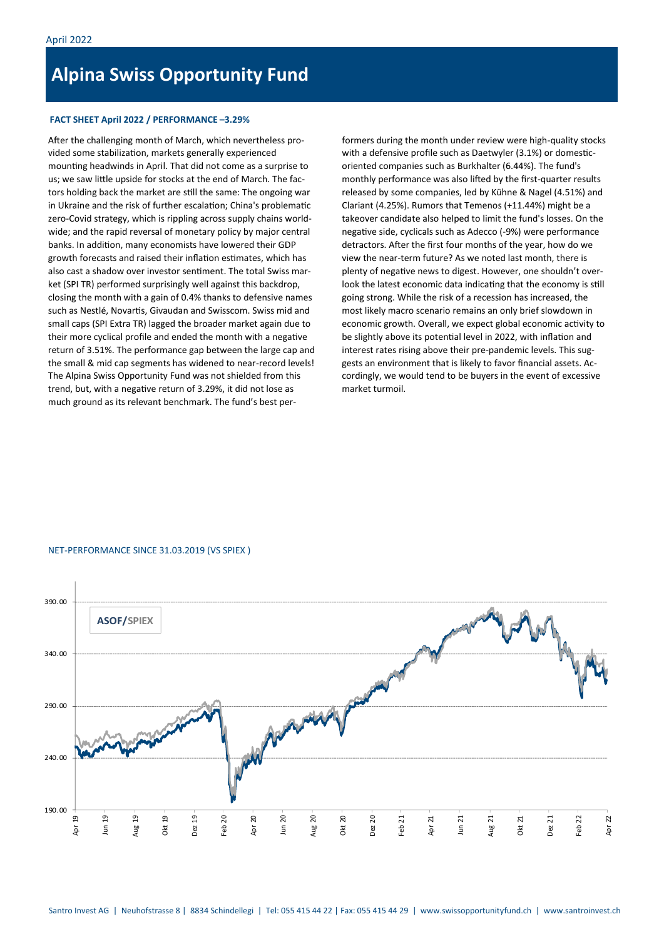# **Alpina Swiss Opportunity Fund**

### **FACT SHEET April 2022 / PERFORMANCE –3.29%**

After the challenging month of March, which nevertheless provided some stabilization, markets generally experienced mounting headwinds in April. That did not come as a surprise to us; we saw little upside for stocks at the end of March. The factors holding back the market are still the same: The ongoing war in Ukraine and the risk of further escalation; China's problematic zero-Covid strategy, which is rippling across supply chains worldwide; and the rapid reversal of monetary policy by major central banks. In addition, many economists have lowered their GDP growth forecasts and raised their inflation estimates, which has also cast a shadow over investor sentiment. The total Swiss market (SPI TR) performed surprisingly well against this backdrop, closing the month with a gain of 0.4% thanks to defensive names such as Nestlé, Novartis, Givaudan and Swisscom. Swiss mid and small caps (SPI Extra TR) lagged the broader market again due to their more cyclical profile and ended the month with a negative return of 3.51%. The performance gap between the large cap and the small & mid cap segments has widened to near-record levels! The Alpina Swiss Opportunity Fund was not shielded from this trend, but, with a negative return of 3.29%, it did not lose as much ground as its relevant benchmark. The fund's best per-

formers during the month under review were high-quality stocks with a defensive profile such as Daetwyler (3.1%) or domesticoriented companies such as Burkhalter (6.44%). The fund's monthly performance was also lifted by the first-quarter results released by some companies, led by Kühne & Nagel (4.51%) and Clariant (4.25%). Rumors that Temenos (+11.44%) might be a takeover candidate also helped to limit the fund's losses. On the negative side, cyclicals such as Adecco (-9%) were performance detractors. After the first four months of the year, how do we view the near-term future? As we noted last month, there is plenty of negative news to digest. However, one shouldn't overlook the latest economic data indicating that the economy is still going strong. While the risk of a recession has increased, the most likely macro scenario remains an only brief slowdown in economic growth. Overall, we expect global economic activity to be slightly above its potential level in 2022, with inflation and interest rates rising above their pre-pandemic levels. This suggests an environment that is likely to favor financial assets. Accordingly, we would tend to be buyers in the event of excessive market turmoil.

### NET-PERFORMANCE SINCE 31.03.2019 (VS SPIEX )